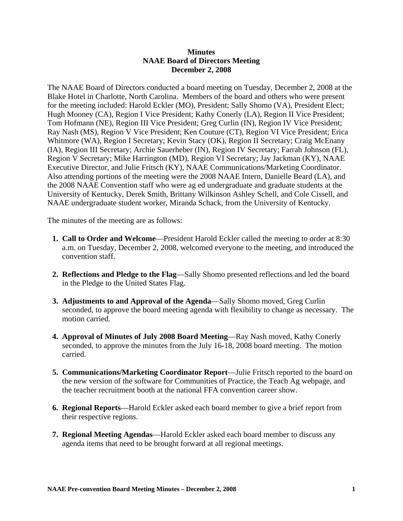## **Minutes NAAE Board of Directors Meeting December 2, 2008**

The NAAE Board of Directors conducted a board meeting on Tuesday, December 2, 2008 at the Blake Hotel in Charlotte, North Carolina. Members of the board and others who were present for the meeting included: Harold Eckler (MO), President; Sally Shomo (VA), President Elect; Hugh Mooney (CA), Region I Vice President; Kathy Conerly (LA), Region II Vice President; Tom Hofmann (NE), Region III Vice President; Greg Curlin (IN), Region IV Vice President; Ray Nash (MS), Region V Vice President; Ken Couture (CT), Region VI Vice President; Erica Whitmore (WA), Region I Secretary; Kevin Stacy (OK), Region II Secretary; Craig McEnany (IA), Region III Secretary; Archie Sauerheber (IN), Region IV Secretary; Farrah Johnson (FL), Region V Secretary; Mike Harrington (MD), Region VI Secretary; Jay Jackman (KY), NAAE Executive Director, and Julie Fritsch (KY), NAAE Communications/Marketing Coordinator. Also attending portions of the meeting were the 2008 NAAE Intern, Danielle Beard (LA), and the 2008 NAAE Convention staff who were ag ed undergraduate and graduate students at the University of Kentucky, Derek Smith, Brittany Wilkinson Ashley Schell, and Cole Cissell, and NAAE undergraduate student worker, Miranda Schack, from the University of Kentucky.

The minutes of the meeting are as follows:

- **1. Call to Order and Welcome**—President Harold Eckler called the meeting to order at 8:30 a.m. on Tuesday, December 2, 2008, welcomed everyone to the meeting, and introduced the convention staff.
- **2. Reflections and Pledge to the Flag**—Sally Shomo presented reflections and led the board in the Pledge to the United States Flag.
- **3. Adjustments to and Approval of the Agenda**—Sally Shomo moved, Greg Curlin seconded, to approve the board meeting agenda with flexibility to change as necessary. The motion carried.
- **4. Approval of Minutes of July 2008 Board Meeting**—Ray Nash moved, Kathy Conerly seconded, to approve the minutes from the July 16-18, 2008 board meeting. The motion carried.
- **5. Communications/Marketing Coordinator Report**—Julie Fritsch reported to the board on the new version of the software for Communities of Practice, the Teach Ag webpage, and the teacher recruitment booth at the national FFA convention career show.
- **6. Regional Reports**—Harold Eckler asked each board member to give a brief report from their respective regions.
- **7. Regional Meeting Agendas**—Harold Eckler asked each board member to discuss any agenda items that need to be brought forward at all regional meetings.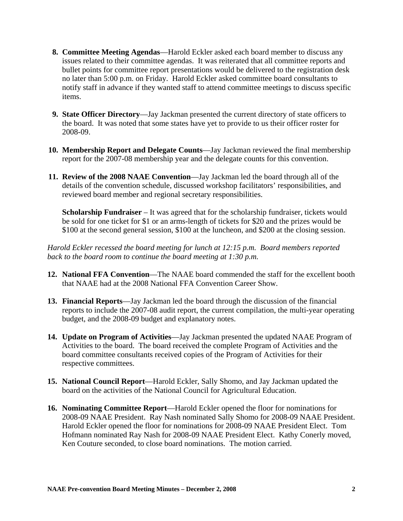- **8. Committee Meeting Agendas**—Harold Eckler asked each board member to discuss any issues related to their committee agendas. It was reiterated that all committee reports and bullet points for committee report presentations would be delivered to the registration desk no later than 5:00 p.m. on Friday. Harold Eckler asked committee board consultants to notify staff in advance if they wanted staff to attend committee meetings to discuss specific items.
- **9. State Officer Directory**—Jay Jackman presented the current directory of state officers to the board. It was noted that some states have yet to provide to us their officer roster for 2008-09.
- **10. Membership Report and Delegate Counts**—Jay Jackman reviewed the final membership report for the 2007-08 membership year and the delegate counts for this convention.
- **11. Review of the 2008 NAAE Convention**—Jay Jackman led the board through all of the details of the convention schedule, discussed workshop facilitators' responsibilities, and reviewed board member and regional secretary responsibilities.

**Scholarship Fundraiser** – It was agreed that for the scholarship fundraiser, tickets would be sold for one ticket for \$1 or an arms-length of tickets for \$20 and the prizes would be \$100 at the second general session, \$100 at the luncheon, and \$200 at the closing session.

*Harold Eckler recessed the board meeting for lunch at 12:15 p.m. Board members reported back to the board room to continue the board meeting at 1:30 p.m.* 

- **12. National FFA Convention**—The NAAE board commended the staff for the excellent booth that NAAE had at the 2008 National FFA Convention Career Show.
- **13. Financial Reports**—Jay Jackman led the board through the discussion of the financial reports to include the 2007-08 audit report, the current compilation, the multi-year operating budget, and the 2008-09 budget and explanatory notes.
- **14. Update on Program of Activities**—Jay Jackman presented the updated NAAE Program of Activities to the board. The board received the complete Program of Activities and the board committee consultants received copies of the Program of Activities for their respective committees.
- **15. National Council Report**—Harold Eckler, Sally Shomo, and Jay Jackman updated the board on the activities of the National Council for Agricultural Education.
- **16. Nominating Committee Report**—Harold Eckler opened the floor for nominations for 2008-09 NAAE President. Ray Nash nominated Sally Shomo for 2008-09 NAAE President. Harold Eckler opened the floor for nominations for 2008-09 NAAE President Elect. Tom Hofmann nominated Ray Nash for 2008-09 NAAE President Elect. Kathy Conerly moved, Ken Couture seconded, to close board nominations. The motion carried.